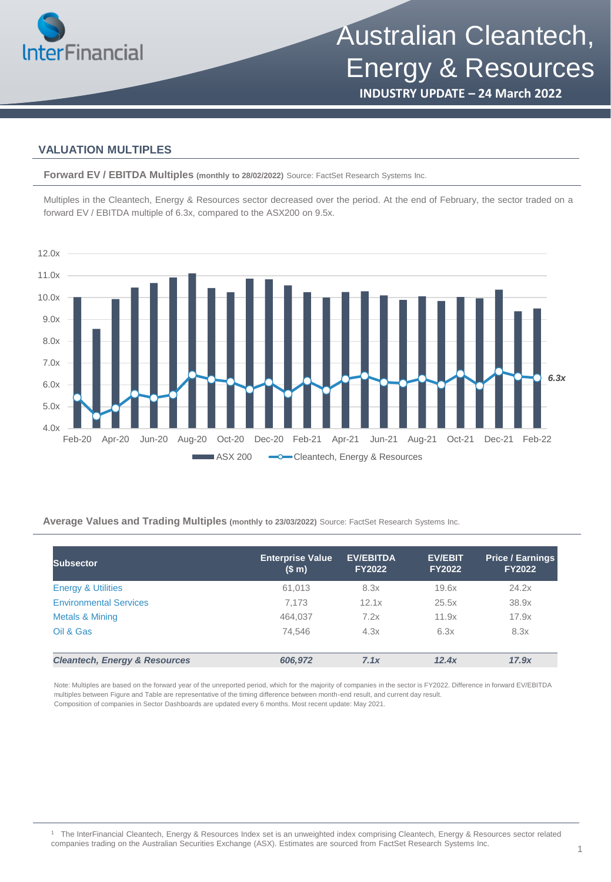

# Australian Cleantech, Energy & Resources

**INDUSTRY UPDATE – 24 March 2022**

### **VALUATION MULTIPLES**

**Forward EV / EBITDA Multiples (monthly to 28/02/2022)** Source: FactSet Research Systems Inc.

Multiples in the Cleantech, Energy & Resources sector decreased over the period. At the end of February, the sector traded on a forward EV / EBITDA multiple of 6.3x, compared to the ASX200 on 9.5x.



**Average Values and Trading Multiples (monthly to 23/03/2022)** Source: FactSet Research Systems Inc.

| <b>Subsector</b>                         | <b>Enterprise Value</b><br>(\$m) | <b>EV/EBITDA</b><br><b>FY2022</b> | <b>EV/EBIT</b><br><b>FY2022</b> | <b>Price / Earnings</b><br><b>FY2022</b> |
|------------------------------------------|----------------------------------|-----------------------------------|---------------------------------|------------------------------------------|
| <b>Energy &amp; Utilities</b>            | 61,013                           | 8.3x                              | 19.6x                           | 24.2x                                    |
| <b>Environmental Services</b>            | 7,173                            | 12.1x                             | 25.5x                           | 38.9x                                    |
| Metals & Mining                          | 464,037                          | 7.2x                              | 11.9x                           | 17.9x                                    |
| Oil & Gas                                | 74.546                           | 4.3x                              | 6.3x                            | 8.3x                                     |
|                                          |                                  |                                   |                                 |                                          |
| <b>Cleantech, Energy &amp; Resources</b> | 606,972                          | 7.1x                              | 12.4x                           | 17.9x                                    |

Note: Multiples are based on the forward year of the unreported period, which for the majority of companies in the sector is FY2022. Difference in forward EV/EBITDA multiples between Figure and Table are representative of the timing difference between month-end result, and current day result. Composition of companies in Sector Dashboards are updated every 6 months. Most recent update: May 2021.

<sup>1</sup> The InterFinancial Cleantech, Energy & Resources Index set is an unweighted index comprising Cleantech, Energy & Resources sector related companies trading on the Australian Securities Exchange (ASX). Estimates are sourced from FactSet Research Systems Inc.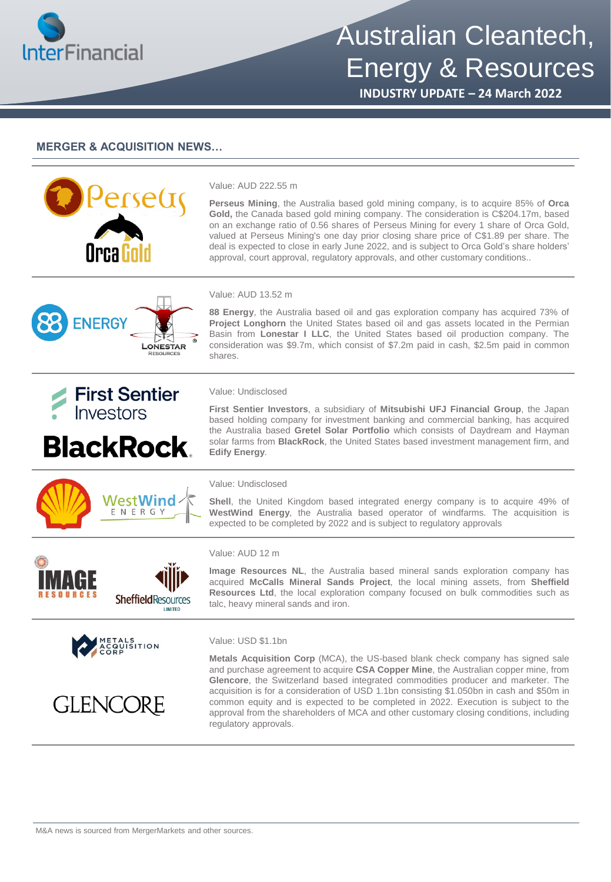

# Australian Cleantech, Energy & Resources

**INDUSTRY UPDATE – 24 March 2022**

#### **MERGER & ACQUISITION NEWS…**



#### Value: AUD 222.55 m

Value: AUD 13.52 m

shares.

**Perseus Mining**, the Australia based gold mining company, is to acquire 85% of **Orca Gold,** the Canada based gold mining company. The consideration is C\$204.17m, based on an exchange ratio of 0.56 shares of Perseus Mining for every 1 share of Orca Gold, valued at Perseus Mining's one day prior closing share price of C\$1.89 per share. The deal is expected to close in early June 2022, and is subject to Orca Gold's share holders' approval, court approval, regulatory approvals, and other customary conditions..

**88 Energy**, the Australia based oil and gas exploration company has acquired 73% of **Project Longhorn** the United States based oil and gas assets located in the Permian Basin from **Lonestar I LLC**, the United States based oil production company. The consideration was \$9.7m, which consist of \$7.2m paid in cash, \$2.5m paid in common

**First Sentier Investors**, a subsidiary of **Mitsubishi UFJ Financial Group**, the Japan based holding company for investment banking and commercial banking, has acquired the Australia based **Gretel Solar Portfolio** which consists of Daydream and Hayman solar farms from **BlackRock**, the United States based investment management firm, and





**BlackRock.** 

METALS ACQUISITION

**GLENCORE** 

WestWind ENERGY

**SheffieldResources** 

## **Edify Energy**.

#### Value: Undisclosed

Value: Undisclosed

**Shell**, the United Kingdom based integrated energy company is to acquire 49% of **WestWind Energy**, the Australia based operator of windfarms. The acquisition is expected to be completed by 2022 and is subject to regulatory approvals



**Image Resources NL**, the Australia based mineral sands exploration company has acquired **McCalls Mineral Sands Project**, the local mining assets, from **Sheffield Resources Ltd**, the local exploration company focused on bulk commodities such as talc, heavy mineral sands and iron.

#### Value: USD \$1.1bn

**Metals Acquisition Corp** (MCA), the US-based blank check company has signed sale and purchase agreement to acquire **CSA Copper Mine**, the Australian copper mine, from **Glencore**, the Switzerland based integrated commodities producer and marketer. The acquisition is for a consideration of USD 1.1bn consisting \$1.050bn in cash and \$50m in common equity and is expected to be completed in 2022. Execution is subject to the approval from the shareholders of MCA and other customary closing conditions, including regulatory approvals.

M&A news is sourced from MergerMarkets and other sources.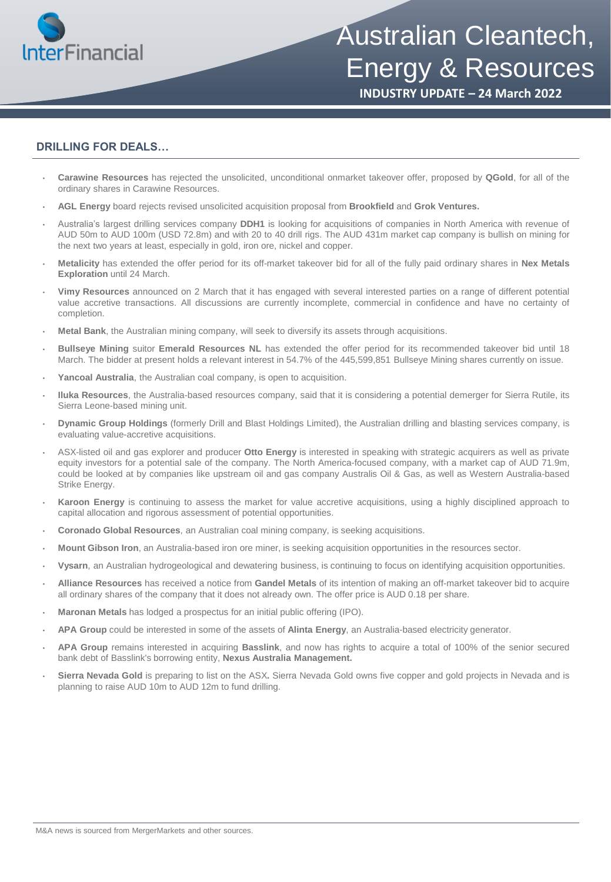

## Australian Cleantech, Energy & Resources

**INDUSTRY UPDATE – 24 March 2022**

#### **DRILLING FOR DEALS…**

- **Carawine Resources** has rejected the unsolicited, unconditional onmarket takeover offer, proposed by **QGold**, for all of the ordinary shares in Carawine Resources.
- **AGL Energy** board rejects revised unsolicited acquisition proposal from **Brookfield** and **Grok Ventures.**
- Australia's largest drilling services company **DDH1** is looking for acquisitions of companies in North America with revenue of AUD 50m to AUD 100m (USD 72.8m) and with 20 to 40 drill rigs. The AUD 431m market cap company is bullish on mining for the next two years at least, especially in gold, iron ore, nickel and copper.
- **Metalicity** has extended the offer period for its off-market takeover bid for all of the fully paid ordinary shares in **Nex Metals Exploration** until 24 March.
- **Vimy Resources** announced on 2 March that it has engaged with several interested parties on a range of different potential value accretive transactions. All discussions are currently incomplete, commercial in confidence and have no certainty of completion.
- **Metal Bank**, the Australian mining company, will seek to diversify its assets through acquisitions.
- **Bullseye Mining** suitor **Emerald Resources NL** has extended the offer period for its recommended takeover bid until 18 March. The bidder at present holds a relevant interest in 54.7% of the 445,599,851 Bullseye Mining shares currently on issue.
- **Yancoal Australia**, the Australian coal company, is open to acquisition.
- **Iluka Resources**, the Australia-based resources company, said that it is considering a potential demerger for Sierra Rutile, its Sierra Leone-based mining unit.
- **Dynamic Group Holdings** (formerly Drill and Blast Holdings Limited), the Australian drilling and blasting services company, is evaluating value-accretive acquisitions.
- ASX-listed oil and gas explorer and producer **Otto Energy** is interested in speaking with strategic acquirers as well as private equity investors for a potential sale of the company. The North America-focused company, with a market cap of AUD 71.9m, could be looked at by companies like upstream oil and gas company Australis Oil & Gas, as well as Western Australia-based Strike Energy.
- **Karoon Energy** is continuing to assess the market for value accretive acquisitions, using a highly disciplined approach to capital allocation and rigorous assessment of potential opportunities.
- **Coronado Global Resources**, an Australian coal mining company, is seeking acquisitions.
- **Mount Gibson Iron**, an Australia-based iron ore miner, is seeking acquisition opportunities in the resources sector.
- **Vysarn**, an Australian hydrogeological and dewatering business, is continuing to focus on identifying acquisition opportunities.
- **Alliance Resources** has received a notice from **Gandel Metals** of its intention of making an off-market takeover bid to acquire all ordinary shares of the company that it does not already own. The offer price is AUD 0.18 per share.
- **Maronan Metals** has lodged a prospectus for an initial public offering (IPO).
- **APA Group** could be interested in some of the assets of **Alinta Energy**, an Australia-based electricity generator.
- **APA Group** remains interested in acquiring **Basslink**, and now has rights to acquire a total of 100% of the senior secured bank debt of Basslink's borrowing entity, **Nexus Australia Management.**
- **Sierra Nevada Gold** is preparing to list on the ASX**.** Sierra Nevada Gold owns five copper and gold projects in Nevada and is planning to raise AUD 10m to AUD 12m to fund drilling.